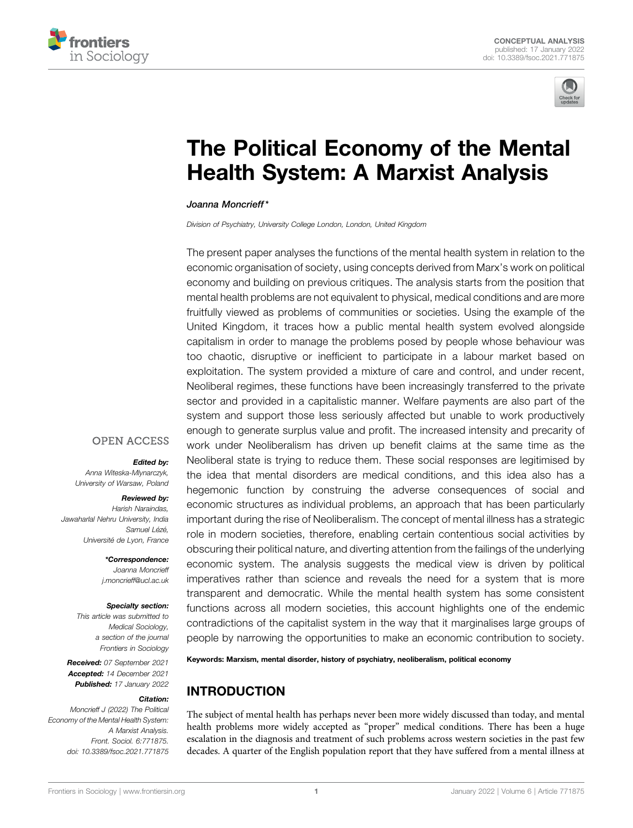



# [The Political Economy of the Mental](https://www.frontiersin.org/articles/10.3389/fsoc.2021.771875/full) [Health System: A Marxist Analysis](https://www.frontiersin.org/articles/10.3389/fsoc.2021.771875/full)

#### Joanna Moncrieff \*

Division of Psychiatry, University College London, London, United Kingdom

The present paper analyses the functions of the mental health system in relation to the economic organisation of society, using concepts derived from Marx's work on political economy and building on previous critiques. The analysis starts from the position that mental health problems are not equivalent to physical, medical conditions and are more fruitfully viewed as problems of communities or societies. Using the example of the United Kingdom, it traces how a public mental health system evolved alongside capitalism in order to manage the problems posed by people whose behaviour was too chaotic, disruptive or inefficient to participate in a labour market based on exploitation. The system provided a mixture of care and control, and under recent, Neoliberal regimes, these functions have been increasingly transferred to the private sector and provided in a capitalistic manner. Welfare payments are also part of the system and support those less seriously affected but unable to work productively enough to generate surplus value and profit. The increased intensity and precarity of work under Neoliberalism has driven up benefit claims at the same time as the Neoliberal state is trying to reduce them. These social responses are legitimised by the idea that mental disorders are medical conditions, and this idea also has a hegemonic function by construing the adverse consequences of social and economic structures as individual problems, an approach that has been particularly important during the rise of Neoliberalism. The concept of mental illness has a strategic role in modern societies, therefore, enabling certain contentious social activities by obscuring their political nature, and diverting attention from the failings of the underlying economic system. The analysis suggests the medical view is driven by political imperatives rather than science and reveals the need for a system that is more transparent and democratic. While the mental health system has some consistent functions across all modern societies, this account highlights one of the endemic contradictions of the capitalist system in the way that it marginalises large groups of people by narrowing the opportunities to make an economic contribution to society.

Keywords: Marxism, mental disorder, history of psychiatry, neoliberalism, political economy

# INTRODUCTION

The subject of mental health has perhaps never been more widely discussed than today, and mental health problems more widely accepted as "proper" medical conditions. There has been a huge escalation in the diagnosis and treatment of such problems across western societies in the past few decades. A quarter of the English population report that they have suffered from a mental illness at

## **OPEN ACCESS**

#### Edited by:

Anna Witeska-Mlynarczyk, University of Warsaw, Poland

#### Reviewed by:

Harish Naraindas, Jawaharlal Nehru University, India Samuel Lézé, Université de Lyon, France

#### \*Correspondence:

Joanna Moncrieff [j.moncrieff@ucl.ac.uk](mailto:j.moncrieff@ucl.ac.uk)

#### Specialty section:

This article was submitted to Medical Sociology, a section of the journal Frontiers in Sociology

Received: 07 September 2021 Accepted: 14 December 2021 Published: 17 January 2022

#### Citation:

Moncrieff J (2022) The Political Economy of the Mental Health System: A Marxist Analysis. Front. Sociol. 6:771875. doi: [10.3389/fsoc.2021.771875](https://doi.org/10.3389/fsoc.2021.771875)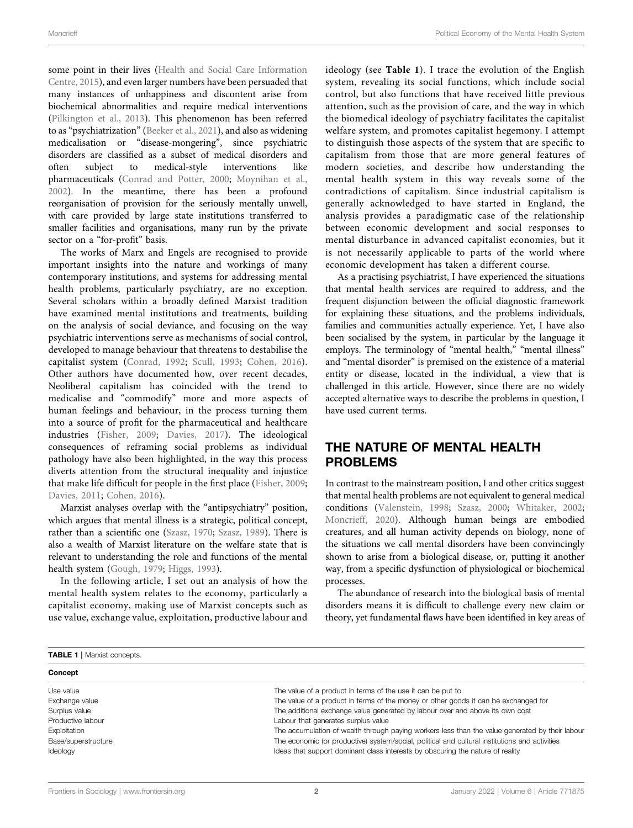some point in their lives ([Health and Social Care Information](#page-9-0) [Centre, 2015](#page-9-0)), and even larger numbers have been persuaded that many instances of unhappiness and discontent arise from biochemical abnormalities and require medical interventions ([Pilkington et al., 2013\)](#page-9-1). This phenomenon has been referred to as "psychiatrization" ([Beeker et al., 2021\)](#page-8-0), and also as widening medicalisation or "disease-mongering", since psychiatric disorders are classified as a subset of medical disorders and often subject to medical-style interventions like pharmaceuticals ([Conrad and Potter, 2000;](#page-8-1) [Moynihan et al.,](#page-9-2) [2002](#page-9-2)). In the meantime, there has been a profound reorganisation of provision for the seriously mentally unwell, with care provided by large state institutions transferred to smaller facilities and organisations, many run by the private sector on a "for-profit" basis.

The works of Marx and Engels are recognised to provide important insights into the nature and workings of many contemporary institutions, and systems for addressing mental health problems, particularly psychiatry, are no exception. Several scholars within a broadly defined Marxist tradition have examined mental institutions and treatments, building on the analysis of social deviance, and focusing on the way psychiatric interventions serve as mechanisms of social control, developed to manage behaviour that threatens to destabilise the capitalist system [\(Conrad, 1992](#page-8-2); [Scull, 1993](#page-9-3); [Cohen, 2016\)](#page-8-3). Other authors have documented how, over recent decades, Neoliberal capitalism has coincided with the trend to medicalise and "commodify" more and more aspects of human feelings and behaviour, in the process turning them into a source of profit for the pharmaceutical and healthcare industries ([Fisher, 2009](#page-8-4); [Davies, 2017](#page-8-5)). The ideological consequences of reframing social problems as individual pathology have also been highlighted, in the way this process diverts attention from the structural inequality and injustice that make life difficult for people in the first place [\(Fisher, 2009](#page-8-4); [Davies, 2011](#page-8-6); [Cohen, 2016\)](#page-8-3).

Marxist analyses overlap with the "antipsychiatry" position, which argues that mental illness is a strategic, political concept, rather than a scientific one ([Szasz, 1970](#page-10-0); [Szasz, 1989\)](#page-10-1). There is also a wealth of Marxist literature on the welfare state that is relevant to understanding the role and functions of the mental health system ([Gough, 1979](#page-9-4); [Higgs, 1993](#page-9-5)).

In the following article, I set out an analysis of how the mental health system relates to the economy, particularly a capitalist economy, making use of Marxist concepts such as use value, exchange value, exploitation, productive labour and ideology (see [Table 1](#page-1-0)). I trace the evolution of the English system, revealing its social functions, which include social control, but also functions that have received little previous attention, such as the provision of care, and the way in which the biomedical ideology of psychiatry facilitates the capitalist welfare system, and promotes capitalist hegemony. I attempt to distinguish those aspects of the system that are specific to capitalism from those that are more general features of modern societies, and describe how understanding the mental health system in this way reveals some of the contradictions of capitalism. Since industrial capitalism is generally acknowledged to have started in England, the analysis provides a paradigmatic case of the relationship between economic development and social responses to mental disturbance in advanced capitalist economies, but it is not necessarily applicable to parts of the world where economic development has taken a different course.

As a practising psychiatrist, I have experienced the situations that mental health services are required to address, and the frequent disjunction between the official diagnostic framework for explaining these situations, and the problems individuals, families and communities actually experience. Yet, I have also been socialised by the system, in particular by the language it employs. The terminology of "mental health," "mental illness" and "mental disorder" is premised on the existence of a material entity or disease, located in the individual, a view that is challenged in this article. However, since there are no widely accepted alternative ways to describe the problems in question, I have used current terms.

## THE NATURE OF MENTAL HEALTH PROBLEMS

In contrast to the mainstream position, I and other critics suggest that mental health problems are not equivalent to general medical conditions ([Valenstein, 1998](#page-10-2); [Szasz, 2000](#page-10-3); [Whitaker, 2002;](#page-10-4) [Moncrieff, 2020](#page-9-6)). Although human beings are embodied creatures, and all human activity depends on biology, none of the situations we call mental disorders have been convincingly shown to arise from a biological disease, or, putting it another way, from a specific dysfunction of physiological or biochemical processes.

The abundance of research into the biological basis of mental disorders means it is difficult to challenge every new claim or theory, yet fundamental flaws have been identified in key areas of

<span id="page-1-0"></span>

| <b>TABLE 1   Marxist concepts.</b><br>Concept |                                                                                                 |
|-----------------------------------------------|-------------------------------------------------------------------------------------------------|
|                                               |                                                                                                 |
| Exchange value                                | The value of a product in terms of the money or other goods it can be exchanged for             |
| Surplus value                                 | The additional exchange value generated by labour over and above its own cost                   |
| Productive labour                             | Labour that generates surplus value                                                             |
| Exploitation                                  | The accumulation of wealth through paying workers less than the value generated by their labour |
| Base/superstructure                           | The economic (or productive) system/social, political and cultural institutions and activities  |
| Ideology                                      | Ideas that support dominant class interests by obscuring the nature of reality                  |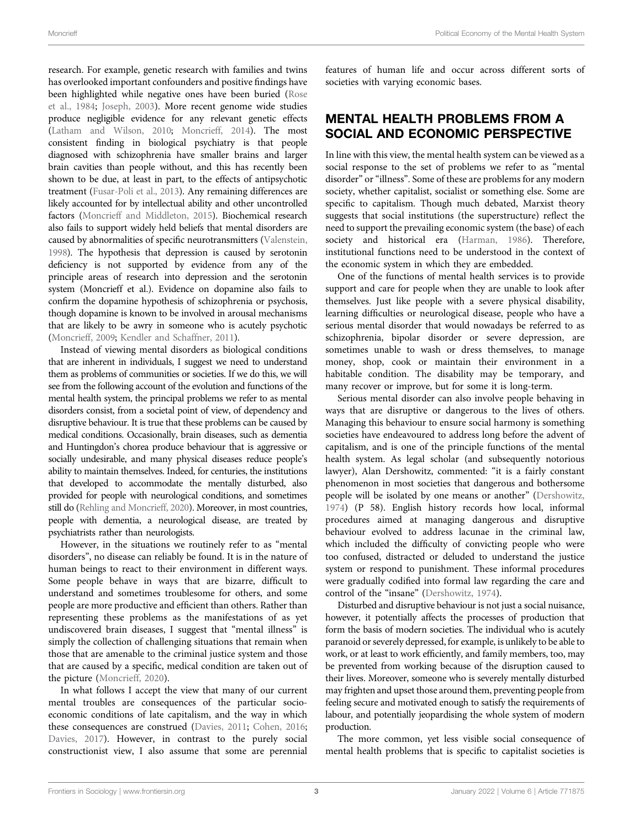research. For example, genetic research with families and twins has overlooked important confounders and positive findings have been highlighted while negative ones have been buried [\(Rose](#page-9-7) [et al., 1984](#page-9-7); [Joseph, 2003](#page-9-8)). More recent genome wide studies produce negligible evidence for any relevant genetic effects ([Latham and Wilson, 2010;](#page-9-9) [Moncrieff, 2014](#page-9-10)). The most consistent finding in biological psychiatry is that people diagnosed with schizophrenia have smaller brains and larger brain cavities than people without, and this has recently been shown to be due, at least in part, to the effects of antipsychotic treatment [\(Fusar-Poli et al., 2013](#page-8-7)). Any remaining differences are likely accounted for by intellectual ability and other uncontrolled factors [\(Moncrieff and Middleton, 2015\)](#page-9-11). Biochemical research also fails to support widely held beliefs that mental disorders are caused by abnormalities of specific neurotransmitters [\(Valenstein,](#page-10-2) [1998](#page-10-2)). The hypothesis that depression is caused by serotonin deficiency is not supported by evidence from any of the principle areas of research into depression and the serotonin system (Moncrieff et al.). Evidence on dopamine also fails to confirm the dopamine hypothesis of schizophrenia or psychosis, though dopamine is known to be involved in arousal mechanisms that are likely to be awry in someone who is acutely psychotic ([Moncrieff, 2009](#page-9-12); [Kendler and Schaffner, 2011](#page-9-13)).

Instead of viewing mental disorders as biological conditions that are inherent in individuals, I suggest we need to understand them as problems of communities or societies. If we do this, we will see from the following account of the evolution and functions of the mental health system, the principal problems we refer to as mental disorders consist, from a societal point of view, of dependency and disruptive behaviour. It is true that these problems can be caused by medical conditions. Occasionally, brain diseases, such as dementia and Huntingdon's chorea produce behaviour that is aggressive or socially undesirable, and many physical diseases reduce people's ability to maintain themselves. Indeed, for centuries, the institutions that developed to accommodate the mentally disturbed, also provided for people with neurological conditions, and sometimes still do ([Rehling and Moncrieff, 2020\)](#page-9-14). Moreover, in most countries, people with dementia, a neurological disease, are treated by psychiatrists rather than neurologists.

However, in the situations we routinely refer to as "mental disorders", no disease can reliably be found. It is in the nature of human beings to react to their environment in different ways. Some people behave in ways that are bizarre, difficult to understand and sometimes troublesome for others, and some people are more productive and efficient than others. Rather than representing these problems as the manifestations of as yet undiscovered brain diseases, I suggest that "mental illness" is simply the collection of challenging situations that remain when those that are amenable to the criminal justice system and those that are caused by a specific, medical condition are taken out of the picture [\(Moncrieff, 2020](#page-9-6)).

In what follows I accept the view that many of our current mental troubles are consequences of the particular socioeconomic conditions of late capitalism, and the way in which these consequences are construed [\(Davies, 2011](#page-8-6); [Cohen, 2016](#page-8-3); [Davies, 2017\)](#page-8-5). However, in contrast to the purely social constructionist view, I also assume that some are perennial

features of human life and occur across different sorts of societies with varying economic bases.

## MENTAL HEALTH PROBLEMS FROM A SOCIAL AND ECONOMIC PERSPECTIVE

In line with this view, the mental health system can be viewed as a social response to the set of problems we refer to as "mental disorder" or "illness". Some of these are problems for any modern society, whether capitalist, socialist or something else. Some are specific to capitalism. Though much debated, Marxist theory suggests that social institutions (the superstructure) reflect the need to support the prevailing economic system (the base) of each society and historical era [\(Harman, 1986\)](#page-9-15). Therefore, institutional functions need to be understood in the context of the economic system in which they are embedded.

One of the functions of mental health services is to provide support and care for people when they are unable to look after themselves. Just like people with a severe physical disability, learning difficulties or neurological disease, people who have a serious mental disorder that would nowadays be referred to as schizophrenia, bipolar disorder or severe depression, are sometimes unable to wash or dress themselves, to manage money, shop, cook or maintain their environment in a habitable condition. The disability may be temporary, and many recover or improve, but for some it is long-term.

Serious mental disorder can also involve people behaving in ways that are disruptive or dangerous to the lives of others. Managing this behaviour to ensure social harmony is something societies have endeavoured to address long before the advent of capitalism, and is one of the principle functions of the mental health system. As legal scholar (and subsequently notorious lawyer), Alan Dershowitz, commented: "it is a fairly constant phenomenon in most societies that dangerous and bothersome people will be isolated by one means or another" ([Dershowitz,](#page-8-8) [1974](#page-8-8)) (P 58). English history records how local, informal procedures aimed at managing dangerous and disruptive behaviour evolved to address lacunae in the criminal law, which included the difficulty of convicting people who were too confused, distracted or deluded to understand the justice system or respond to punishment. These informal procedures were gradually codified into formal law regarding the care and control of the "insane" [\(Dershowitz, 1974\)](#page-8-8).

Disturbed and disruptive behaviour is not just a social nuisance, however, it potentially affects the processes of production that form the basis of modern societies. The individual who is acutely paranoid or severely depressed, for example, is unlikely to be able to work, or at least to work efficiently, and family members, too, may be prevented from working because of the disruption caused to their lives. Moreover, someone who is severely mentally disturbed may frighten and upset those around them, preventing people from feeling secure and motivated enough to satisfy the requirements of labour, and potentially jeopardising the whole system of modern production.

The more common, yet less visible social consequence of mental health problems that is specific to capitalist societies is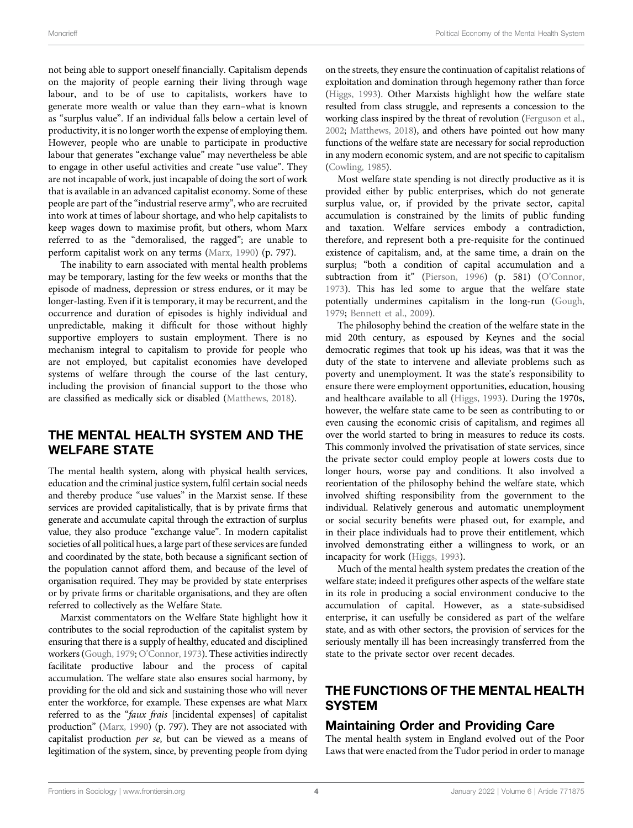not being able to support oneself financially. Capitalism depends on the majority of people earning their living through wage labour, and to be of use to capitalists, workers have to generate more wealth or value than they earn–what is known as "surplus value". If an individual falls below a certain level of productivity, it is no longer worth the expense of employing them. However, people who are unable to participate in productive labour that generates "exchange value" may nevertheless be able to engage in other useful activities and create "use value". They are not incapable of work, just incapable of doing the sort of work that is available in an advanced capitalist economy. Some of these people are part of the "industrial reserve army", who are recruited into work at times of labour shortage, and who help capitalists to keep wages down to maximise profit, but others, whom Marx referred to as the "demoralised, the ragged"; are unable to perform capitalist work on any terms [\(Marx, 1990\)](#page-9-16) (p. 797).

The inability to earn associated with mental health problems may be temporary, lasting for the few weeks or months that the episode of madness, depression or stress endures, or it may be longer-lasting. Even if it is temporary, it may be recurrent, and the occurrence and duration of episodes is highly individual and unpredictable, making it difficult for those without highly supportive employers to sustain employment. There is no mechanism integral to capitalism to provide for people who are not employed, but capitalist economies have developed systems of welfare through the course of the last century, including the provision of financial support to the those who are classified as medically sick or disabled [\(Matthews, 2018\)](#page-9-17).

## THE MENTAL HEALTH SYSTEM AND THE WELFARE STATE

The mental health system, along with physical health services, education and the criminal justice system, fulfil certain social needs and thereby produce "use values" in the Marxist sense. If these services are provided capitalistically, that is by private firms that generate and accumulate capital through the extraction of surplus value, they also produce "exchange value". In modern capitalist societies of all political hues, a large part of these services are funded and coordinated by the state, both because a significant section of the population cannot afford them, and because of the level of organisation required. They may be provided by state enterprises or by private firms or charitable organisations, and they are often referred to collectively as the Welfare State.

Marxist commentators on the Welfare State highlight how it contributes to the social reproduction of the capitalist system by ensuring that there is a supply of healthy, educated and disciplined workers ([Gough, 1979;](#page-9-4) O'[Connor, 1973\)](#page-9-18). These activities indirectly facilitate productive labour and the process of capital accumulation. The welfare state also ensures social harmony, by providing for the old and sick and sustaining those who will never enter the workforce, for example. These expenses are what Marx referred to as the "faux frais [incidental expenses] of capitalist production" [\(Marx, 1990](#page-9-16)) (p. 797). They are not associated with capitalist production per se, but can be viewed as a means of legitimation of the system, since, by preventing people from dying

on the streets, they ensure the continuation of capitalist relations of exploitation and domination through hegemony rather than force [\(Higgs, 1993\)](#page-9-5). Other Marxists highlight how the welfare state resulted from class struggle, and represents a concession to the working class inspired by the threat of revolution ([Ferguson et al.,](#page-8-9) [2002;](#page-8-9) [Matthews, 2018\)](#page-9-17), and others have pointed out how many functions of the welfare state are necessary for social reproduction in any modern economic system, and are not specific to capitalism [\(Cowling, 1985](#page-8-10)).

Most welfare state spending is not directly productive as it is provided either by public enterprises, which do not generate surplus value, or, if provided by the private sector, capital accumulation is constrained by the limits of public funding and taxation. Welfare services embody a contradiction, therefore, and represent both a pre-requisite for the continued existence of capitalism, and, at the same time, a drain on the surplus; "both a condition of capital accumulation and a subtraction from it" [\(Pierson, 1996\)](#page-9-19) (p. 581) (O'[Connor,](#page-9-18) [1973](#page-9-18)). This has led some to argue that the welfare state potentially undermines capitalism in the long-run [\(Gough,](#page-9-4) [1979](#page-9-4); [Bennett et al., 2009\)](#page-8-11).

The philosophy behind the creation of the welfare state in the mid 20th century, as espoused by Keynes and the social democratic regimes that took up his ideas, was that it was the duty of the state to intervene and alleviate problems such as poverty and unemployment. It was the state's responsibility to ensure there were employment opportunities, education, housing and healthcare available to all [\(Higgs, 1993](#page-9-5)). During the 1970s, however, the welfare state came to be seen as contributing to or even causing the economic crisis of capitalism, and regimes all over the world started to bring in measures to reduce its costs. This commonly involved the privatisation of state services, since the private sector could employ people at lowers costs due to longer hours, worse pay and conditions. It also involved a reorientation of the philosophy behind the welfare state, which involved shifting responsibility from the government to the individual. Relatively generous and automatic unemployment or social security benefits were phased out, for example, and in their place individuals had to prove their entitlement, which involved demonstrating either a willingness to work, or an incapacity for work [\(Higgs, 1993](#page-9-5)).

Much of the mental health system predates the creation of the welfare state; indeed it prefigures other aspects of the welfare state in its role in producing a social environment conducive to the accumulation of capital. However, as a state-subsidised enterprise, it can usefully be considered as part of the welfare state, and as with other sectors, the provision of services for the seriously mentally ill has been increasingly transferred from the state to the private sector over recent decades.

## THE FUNCTIONS OF THE MENTAL HEALTH **SYSTEM**

#### Maintaining Order and Providing Care

The mental health system in England evolved out of the Poor Laws that were enacted from the Tudor period in order to manage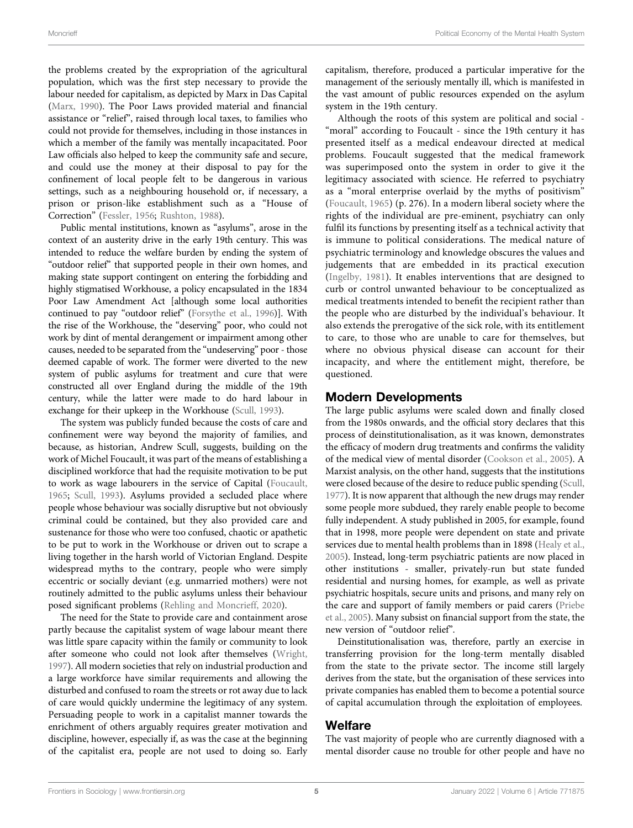the problems created by the expropriation of the agricultural population, which was the first step necessary to provide the labour needed for capitalism, as depicted by Marx in Das Capital ([Marx, 1990](#page-9-16)). The Poor Laws provided material and financial assistance or "relief", raised through local taxes, to families who could not provide for themselves, including in those instances in which a member of the family was mentally incapacitated. Poor Law officials also helped to keep the community safe and secure, and could use the money at their disposal to pay for the confinement of local people felt to be dangerous in various settings, such as a neighbouring household or, if necessary, a prison or prison-like establishment such as a "House of Correction" [\(Fessler, 1956](#page-8-12); [Rushton, 1988\)](#page-9-20).

Public mental institutions, known as "asylums", arose in the context of an austerity drive in the early 19th century. This was intended to reduce the welfare burden by ending the system of "outdoor relief" that supported people in their own homes, and making state support contingent on entering the forbidding and highly stigmatised Workhouse, a policy encapsulated in the 1834 Poor Law Amendment Act [although some local authorities continued to pay "outdoor relief" [\(Forsythe et al., 1996\)](#page-8-13)]. With the rise of the Workhouse, the "deserving" poor, who could not work by dint of mental derangement or impairment among other causes, needed to be separated from the "undeserving" poor - those deemed capable of work. The former were diverted to the new system of public asylums for treatment and cure that were constructed all over England during the middle of the 19th century, while the latter were made to do hard labour in exchange for their upkeep in the Workhouse [\(Scull, 1993\)](#page-9-3).

The system was publicly funded because the costs of care and confinement were way beyond the majority of families, and because, as historian, Andrew Scull, suggests, building on the work of Michel Foucault, it was part of the means of establishing a disciplined workforce that had the requisite motivation to be put to work as wage labourers in the service of Capital [\(Foucault,](#page-8-14) [1965](#page-8-14); [Scull, 1993\)](#page-9-3). Asylums provided a secluded place where people whose behaviour was socially disruptive but not obviously criminal could be contained, but they also provided care and sustenance for those who were too confused, chaotic or apathetic to be put to work in the Workhouse or driven out to scrape a living together in the harsh world of Victorian England. Despite widespread myths to the contrary, people who were simply eccentric or socially deviant (e.g. unmarried mothers) were not routinely admitted to the public asylums unless their behaviour posed significant problems [\(Rehling and Moncrieff, 2020\)](#page-9-14).

The need for the State to provide care and containment arose partly because the capitalist system of wage labour meant there was little spare capacity within the family or community to look after someone who could not look after themselves ([Wright,](#page-10-5) [1997](#page-10-5)). All modern societies that rely on industrial production and a large workforce have similar requirements and allowing the disturbed and confused to roam the streets or rot away due to lack of care would quickly undermine the legitimacy of any system. Persuading people to work in a capitalist manner towards the enrichment of others arguably requires greater motivation and discipline, however, especially if, as was the case at the beginning of the capitalist era, people are not used to doing so. Early

capitalism, therefore, produced a particular imperative for the management of the seriously mentally ill, which is manifested in the vast amount of public resources expended on the asylum system in the 19th century.

Although the roots of this system are political and social - "moral" according to Foucault - since the 19th century it has presented itself as a medical endeavour directed at medical problems. Foucault suggested that the medical framework was superimposed onto the system in order to give it the legitimacy associated with science. He referred to psychiatry as a "moral enterprise overlaid by the myths of positivism" [\(Foucault, 1965](#page-8-14)) (p. 276). In a modern liberal society where the rights of the individual are pre-eminent, psychiatry can only fulfil its functions by presenting itself as a technical activity that is immune to political considerations. The medical nature of psychiatric terminology and knowledge obscures the values and judgements that are embedded in its practical execution [\(Ingelby, 1981\)](#page-9-21). It enables interventions that are designed to curb or control unwanted behaviour to be conceptualized as medical treatments intended to benefit the recipient rather than the people who are disturbed by the individual's behaviour. It also extends the prerogative of the sick role, with its entitlement to care, to those who are unable to care for themselves, but where no obvious physical disease can account for their incapacity, and where the entitlement might, therefore, be questioned.

#### Modern Developments

The large public asylums were scaled down and finally closed from the 1980s onwards, and the official story declares that this process of deinstitutionalisation, as it was known, demonstrates the efficacy of modern drug treatments and confirms the validity of the medical view of mental disorder [\(Cookson et al., 2005](#page-8-15)). A Marxist analysis, on the other hand, suggests that the institutions were closed because of the desire to reduce public spending ([Scull,](#page-9-22) [1977](#page-9-22)). It is now apparent that although the new drugs may render some people more subdued, they rarely enable people to become fully independent. A study published in 2005, for example, found that in 1998, more people were dependent on state and private services due to mental health problems than in 1898 [\(Healy et al.,](#page-9-23) [2005](#page-9-23)). Instead, long-term psychiatric patients are now placed in other institutions - smaller, privately-run but state funded residential and nursing homes, for example, as well as private psychiatric hospitals, secure units and prisons, and many rely on the care and support of family members or paid carers [\(Priebe](#page-9-24) [et al., 2005\)](#page-9-24). Many subsist on financial support from the state, the new version of "outdoor relief".

Deinstitutionalisation was, therefore, partly an exercise in transferring provision for the long-term mentally disabled from the state to the private sector. The income still largely derives from the state, but the organisation of these services into private companies has enabled them to become a potential source of capital accumulation through the exploitation of employees.

#### Welfare

The vast majority of people who are currently diagnosed with a mental disorder cause no trouble for other people and have no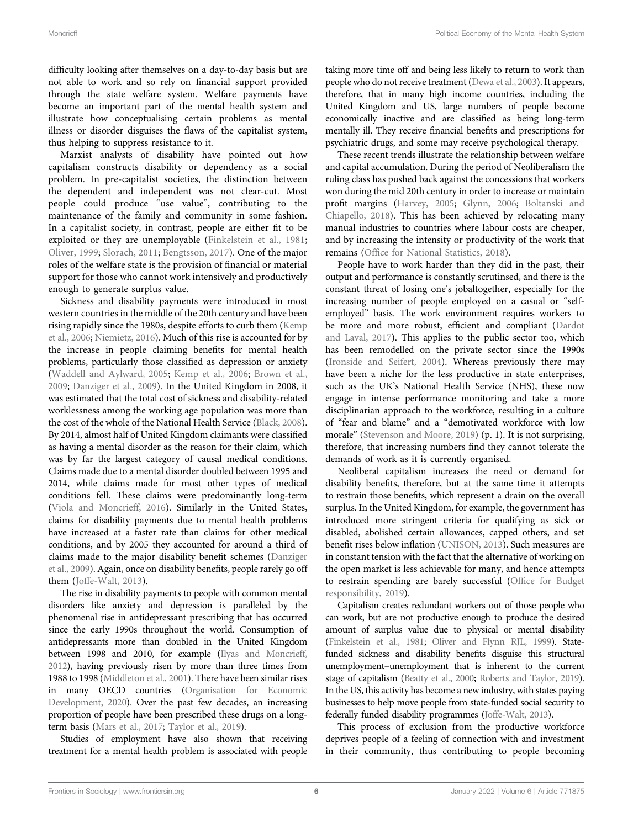difficulty looking after themselves on a day-to-day basis but are not able to work and so rely on financial support provided through the state welfare system. Welfare payments have become an important part of the mental health system and illustrate how conceptualising certain problems as mental illness or disorder disguises the flaws of the capitalist system, thus helping to suppress resistance to it.

Marxist analysts of disability have pointed out how capitalism constructs disability or dependency as a social problem. In pre-capitalist societies, the distinction between the dependent and independent was not clear-cut. Most people could produce "use value", contributing to the maintenance of the family and community in some fashion. In a capitalist society, in contrast, people are either fit to be exploited or they are unemployable ([Finkelstein et al., 1981](#page-8-16); [Oliver, 1999](#page-9-25); [Slorach, 2011;](#page-10-6) [Bengtsson, 2017\)](#page-8-17). One of the major roles of the welfare state is the provision of financial or material support for those who cannot work intensively and productively enough to generate surplus value.

Sickness and disability payments were introduced in most western countries in the middle of the 20th century and have been rising rapidly since the 1980s, despite efforts to curb them [\(Kemp](#page-9-26) [et al., 2006](#page-9-26); [Niemietz, 2016\)](#page-9-27). Much of this rise is accounted for by the increase in people claiming benefits for mental health problems, particularly those classified as depression or anxiety ([Waddell and Aylward, 2005](#page-10-7); [Kemp et al., 2006](#page-9-26); [Brown et al.,](#page-8-18) [2009](#page-8-18); [Danziger et al., 2009\)](#page-8-19). In the United Kingdom in 2008, it was estimated that the total cost of sickness and disability-related worklessness among the working age population was more than the cost of the whole of the National Health Service [\(Black, 2008\)](#page-8-20). By 2014, almost half of United Kingdom claimants were classified as having a mental disorder as the reason for their claim, which was by far the largest category of causal medical conditions. Claims made due to a mental disorder doubled between 1995 and 2014, while claims made for most other types of medical conditions fell. These claims were predominantly long-term ([Viola and Moncrieff, 2016\)](#page-10-8). Similarly in the United States, claims for disability payments due to mental health problems have increased at a faster rate than claims for other medical conditions, and by 2005 they accounted for around a third of claims made to the major disability benefit schemes ([Danziger](#page-8-19) [et al., 2009](#page-8-19)). Again, once on disability benefits, people rarely go off them [\(Joffe-Walt, 2013\)](#page-9-28).

The rise in disability payments to people with common mental disorders like anxiety and depression is paralleled by the phenomenal rise in antidepressant prescribing that has occurred since the early 1990s throughout the world. Consumption of antidepressants more than doubled in the United Kingdom between 1998 and 2010, for example ([Ilyas and Moncrieff,](#page-9-29) [2012](#page-9-29)), having previously risen by more than three times from 1988 to 1998 [\(Middleton et al., 2001](#page-9-30)). There have been similar rises in many OECD countries [\(Organisation for Economic](#page-9-31) [Development, 2020\)](#page-9-31). Over the past few decades, an increasing proportion of people have been prescribed these drugs on a longterm basis [\(Mars et al., 2017](#page-9-32); [Taylor et al., 2019\)](#page-10-9).

Studies of employment have also shown that receiving treatment for a mental health problem is associated with people taking more time off and being less likely to return to work than people who do not receive treatment ([Dewa et al., 2003\)](#page-8-21). It appears, therefore, that in many high income countries, including the United Kingdom and US, large numbers of people become economically inactive and are classified as being long-term mentally ill. They receive financial benefits and prescriptions for psychiatric drugs, and some may receive psychological therapy.

These recent trends illustrate the relationship between welfare and capital accumulation. During the period of Neoliberalism the ruling class has pushed back against the concessions that workers won during the mid 20th century in order to increase or maintain profit margins ([Harvey, 2005](#page-9-33); [Glynn, 2006;](#page-9-34) [Boltanski and](#page-8-22) [Chiapello, 2018\)](#page-8-22). This has been achieved by relocating many manual industries to countries where labour costs are cheaper, and by increasing the intensity or productivity of the work that remains (Offi[ce for National Statistics, 2018\)](#page-9-35).

People have to work harder than they did in the past, their output and performance is constantly scrutinsed, and there is the constant threat of losing one's jobaltogether, especially for the increasing number of people employed on a casual or "selfemployed" basis. The work environment requires workers to be more and more robust, efficient and compliant ([Dardot](#page-8-23) [and Laval, 2017](#page-8-23)). This applies to the public sector too, which has been remodelled on the private sector since the 1990s [\(Ironside and Seifert, 2004](#page-9-36)). Whereas previously there may have been a niche for the less productive in state enterprises, such as the UK's National Health Service (NHS), these now engage in intense performance monitoring and take a more disciplinarian approach to the workforce, resulting in a culture of "fear and blame" and a "demotivated workforce with low morale" ([Stevenson and Moore, 2019\)](#page-10-10) (p. 1). It is not surprising, therefore, that increasing numbers find they cannot tolerate the demands of work as it is currently organised.

Neoliberal capitalism increases the need or demand for disability benefits, therefore, but at the same time it attempts to restrain those benefits, which represent a drain on the overall surplus. In the United Kingdom, for example, the government has introduced more stringent criteria for qualifying as sick or disabled, abolished certain allowances, capped others, and set benefit rises below inflation ([UNISON, 2013\)](#page-10-11). Such measures are in constant tension with the fact that the alternative of working on the open market is less achievable for many, and hence attempts to restrain spending are barely successful (Offi[ce for Budget](#page-9-37) [responsibility, 2019](#page-9-37)).

Capitalism creates redundant workers out of those people who can work, but are not productive enough to produce the desired amount of surplus value due to physical or mental disability [\(Finkelstein et al., 1981](#page-8-16); [Oliver and Flynn RJL, 1999\)](#page-9-25). Statefunded sickness and disability benefits disguise this structural unemployment–unemployment that is inherent to the current stage of capitalism [\(Beatty et al., 2000;](#page-8-24) [Roberts and Taylor, 2019\)](#page-9-38). In the US, this activity has become a new industry, with states paying businesses to help move people from state-funded social security to federally funded disability programmes [\(Joffe-Walt, 2013\)](#page-9-28).

This process of exclusion from the productive workforce deprives people of a feeling of connection with and investment in their community, thus contributing to people becoming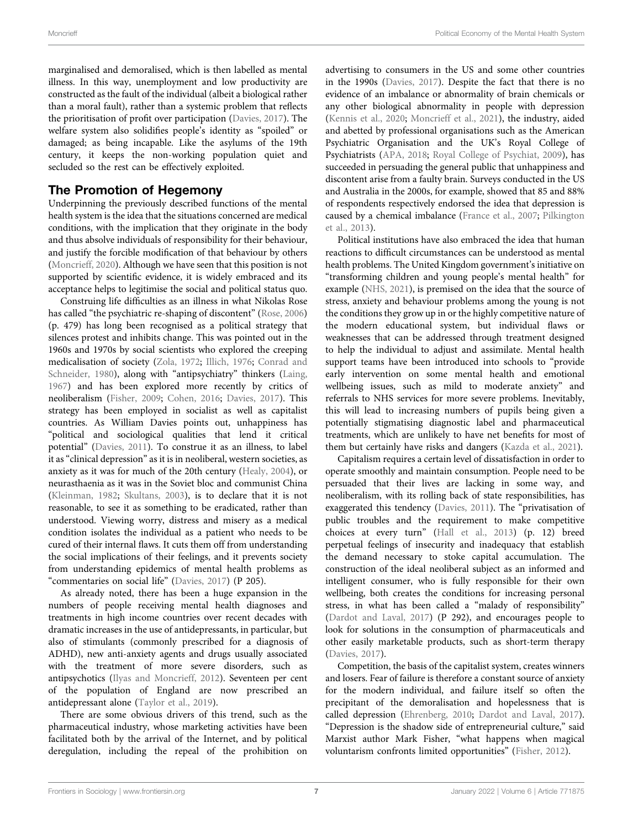marginalised and demoralised, which is then labelled as mental illness. In this way, unemployment and low productivity are constructed as the fault of the individual (albeit a biological rather than a moral fault), rather than a systemic problem that reflects the prioritisation of profit over participation ([Davies, 2017\)](#page-8-5). The welfare system also solidifies people's identity as "spoiled" or damaged; as being incapable. Like the asylums of the 19th century, it keeps the non-working population quiet and secluded so the rest can be effectively exploited.

#### The Promotion of Hegemony

Underpinning the previously described functions of the mental health system is the idea that the situations concerned are medical conditions, with the implication that they originate in the body and thus absolve individuals of responsibility for their behaviour, and justify the forcible modification of that behaviour by others ([Moncrieff, 2020](#page-9-6)). Although we have seen that this position is not supported by scientific evidence, it is widely embraced and its acceptance helps to legitimise the social and political status quo.

Construing life difficulties as an illness in what Nikolas Rose has called "the psychiatric re-shaping of discontent" ([Rose, 2006\)](#page-9-39) (p. 479) has long been recognised as a political strategy that silences protest and inhibits change. This was pointed out in the 1960s and 1970s by social scientists who explored the creeping medicalisation of society [\(Zola, 1972](#page-10-12); [Illich, 1976](#page-9-40); [Conrad and](#page-8-25) [Schneider, 1980\)](#page-8-25), along with "antipsychiatry" thinkers ([Laing,](#page-9-41) [1967](#page-9-41)) and has been explored more recently by critics of neoliberalism ([Fisher, 2009](#page-8-4); [Cohen, 2016;](#page-8-3) [Davies, 2017\)](#page-8-5). This strategy has been employed in socialist as well as capitalist countries. As William Davies points out, unhappiness has "political and sociological qualities that lend it critical potential" [\(Davies, 2011\)](#page-8-6). To construe it as an illness, to label it as"clinical depression" as it is in neoliberal, western societies, as anxiety as it was for much of the 20th century ([Healy, 2004\)](#page-9-42), or neurasthaenia as it was in the Soviet bloc and communist China ([Kleinman, 1982](#page-9-43); [Skultans, 2003\)](#page-10-13), is to declare that it is not reasonable, to see it as something to be eradicated, rather than understood. Viewing worry, distress and misery as a medical condition isolates the individual as a patient who needs to be cured of their internal flaws. It cuts them off from understanding the social implications of their feelings, and it prevents society from understanding epidemics of mental health problems as "commentaries on social life" ([Davies, 2017](#page-8-5)) (P 205).

As already noted, there has been a huge expansion in the numbers of people receiving mental health diagnoses and treatments in high income countries over recent decades with dramatic increases in the use of antidepressants, in particular, but also of stimulants (commonly prescribed for a diagnosis of ADHD), new anti-anxiety agents and drugs usually associated with the treatment of more severe disorders, such as antipsychotics [\(Ilyas and Moncrieff, 2012\)](#page-9-29). Seventeen per cent of the population of England are now prescribed an antidepressant alone [\(Taylor et al., 2019\)](#page-10-9).

There are some obvious drivers of this trend, such as the pharmaceutical industry, whose marketing activities have been facilitated both by the arrival of the Internet, and by political deregulation, including the repeal of the prohibition on advertising to consumers in the US and some other countries in the 1990s ([Davies, 2017](#page-8-5)). Despite the fact that there is no evidence of an imbalance or abnormality of brain chemicals or any other biological abnormality in people with depression [\(Kennis et al., 2020](#page-9-44); [Moncrieff et al., 2021](#page-9-45)), the industry, aided and abetted by professional organisations such as the American Psychiatric Organisation and the UK's Royal College of Psychiatrists ([APA, 2018;](#page-8-26) [Royal College of Psychiat, 2009\)](#page-9-46), has succeeded in persuading the general public that unhappiness and discontent arise from a faulty brain. Surveys conducted in the US and Australia in the 2000s, for example, showed that 85 and 88% of respondents respectively endorsed the idea that depression is caused by a chemical imbalance [\(France et al., 2007](#page-8-27); [Pilkington](#page-9-1) [et al., 2013](#page-9-1)).

Political institutions have also embraced the idea that human reactions to difficult circumstances can be understood as mental health problems. The United Kingdom government's initiative on "transforming children and young people's mental health" for example [\(NHS, 2021\)](#page-9-47), is premised on the idea that the source of stress, anxiety and behaviour problems among the young is not the conditions they grow up in or the highly competitive nature of the modern educational system, but individual flaws or weaknesses that can be addressed through treatment designed to help the individual to adjust and assimilate. Mental health support teams have been introduced into schools to "provide early intervention on some mental health and emotional wellbeing issues, such as mild to moderate anxiety" and referrals to NHS services for more severe problems. Inevitably, this will lead to increasing numbers of pupils being given a potentially stigmatising diagnostic label and pharmaceutical treatments, which are unlikely to have net benefits for most of them but certainly have risks and dangers ([Kazda et al., 2021](#page-9-48)).

Capitalism requires a certain level of dissatisfaction in order to operate smoothly and maintain consumption. People need to be persuaded that their lives are lacking in some way, and neoliberalism, with its rolling back of state responsibilities, has exaggerated this tendency [\(Davies, 2011\)](#page-8-6). The "privatisation of public troubles and the requirement to make competitive choices at every turn" ([Hall et al., 2013\)](#page-9-49) (p. 12) breed perpetual feelings of insecurity and inadequacy that establish the demand necessary to stoke capital accumulation. The construction of the ideal neoliberal subject as an informed and intelligent consumer, who is fully responsible for their own wellbeing, both creates the conditions for increasing personal stress, in what has been called a "malady of responsibility" [\(Dardot and Laval, 2017](#page-8-23)) (P 292), and encourages people to look for solutions in the consumption of pharmaceuticals and other easily marketable products, such as short-term therapy [\(Davies, 2017\)](#page-8-5).

Competition, the basis of the capitalist system, creates winners and losers. Fear of failure is therefore a constant source of anxiety for the modern individual, and failure itself so often the precipitant of the demoralisation and hopelessness that is called depression [\(Ehrenberg, 2010;](#page-8-28) [Dardot and Laval, 2017\)](#page-8-23). "Depression is the shadow side of entrepreneurial culture," said Marxist author Mark Fisher, "what happens when magical voluntarism confronts limited opportunities" ([Fisher, 2012\)](#page-8-29).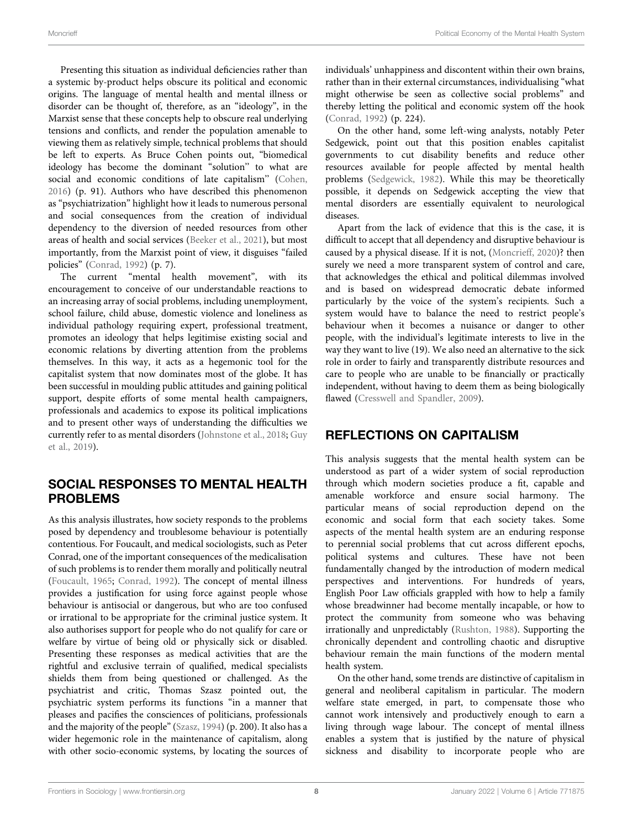Presenting this situation as individual deficiencies rather than a systemic by-product helps obscure its political and economic origins. The language of mental health and mental illness or disorder can be thought of, therefore, as an "ideology", in the Marxist sense that these concepts help to obscure real underlying tensions and conflicts, and render the population amenable to viewing them as relatively simple, technical problems that should be left to experts. As Bruce Cohen points out, "biomedical ideology has become the dominant "solution'' to what are social and economic conditions of late capitalism'' ([Cohen,](#page-8-3) [2016](#page-8-3)) (p. 91). Authors who have described this phenomenon as "psychiatrization" highlight how it leads to numerous personal and social consequences from the creation of individual dependency to the diversion of needed resources from other areas of health and social services ([Beeker et al., 2021](#page-8-0)), but most importantly, from the Marxist point of view, it disguises "failed policies" ([Conrad, 1992\)](#page-8-2) (p. 7).

The current "mental health movement", with its encouragement to conceive of our understandable reactions to an increasing array of social problems, including unemployment, school failure, child abuse, domestic violence and loneliness as individual pathology requiring expert, professional treatment, promotes an ideology that helps legitimise existing social and economic relations by diverting attention from the problems themselves. In this way, it acts as a hegemonic tool for the capitalist system that now dominates most of the globe. It has been successful in moulding public attitudes and gaining political support, despite efforts of some mental health campaigners, professionals and academics to expose its political implications and to present other ways of understanding the difficulties we currently refer to as mental disorders [\(Johnstone et al., 2018](#page-9-50); [Guy](#page-9-51) [et al., 2019](#page-9-51)).

#### SOCIAL RESPONSES TO MENTAL HEALTH PROBLEMS

As this analysis illustrates, how society responds to the problems posed by dependency and troublesome behaviour is potentially contentious. For Foucault, and medical sociologists, such as Peter Conrad, one of the important consequences of the medicalisation of such problems is to render them morally and politically neutral ([Foucault, 1965](#page-8-14); [Conrad, 1992\)](#page-8-2). The concept of mental illness provides a justification for using force against people whose behaviour is antisocial or dangerous, but who are too confused or irrational to be appropriate for the criminal justice system. It also authorises support for people who do not qualify for care or welfare by virtue of being old or physically sick or disabled. Presenting these responses as medical activities that are the rightful and exclusive terrain of qualified, medical specialists shields them from being questioned or challenged. As the psychiatrist and critic, Thomas Szasz pointed out, the psychiatric system performs its functions "in a manner that pleases and pacifies the consciences of politicians, professionals and the majority of the people" ([Szasz, 1994\)](#page-10-14) (p. 200). It also has a wider hegemonic role in the maintenance of capitalism, along with other socio-economic systems, by locating the sources of individuals' unhappiness and discontent within their own brains, rather than in their external circumstances, individualising "what might otherwise be seen as collective social problems" and thereby letting the political and economic system off the hook [\(Conrad, 1992](#page-8-2)) (p. 224).

On the other hand, some left-wing analysts, notably Peter Sedgewick, point out that this position enables capitalist governments to cut disability benefits and reduce other resources available for people affected by mental health problems [\(Sedgewick, 1982](#page-9-52)). While this may be theoretically possible, it depends on Sedgewick accepting the view that mental disorders are essentially equivalent to neurological diseases.

Apart from the lack of evidence that this is the case, it is difficult to accept that all dependency and disruptive behaviour is caused by a physical disease. If it is not, [\(Moncrieff, 2020\)](#page-9-6)? then surely we need a more transparent system of control and care, that acknowledges the ethical and political dilemmas involved and is based on widespread democratic debate informed particularly by the voice of the system's recipients. Such a system would have to balance the need to restrict people's behaviour when it becomes a nuisance or danger to other people, with the individual's legitimate interests to live in the way they want to live (19). We also need an alternative to the sick role in order to fairly and transparently distribute resources and care to people who are unable to be financially or practically independent, without having to deem them as being biologically flawed ([Cresswell and Spandler, 2009\)](#page-8-30).

## REFLECTIONS ON CAPITALISM

This analysis suggests that the mental health system can be understood as part of a wider system of social reproduction through which modern societies produce a fit, capable and amenable workforce and ensure social harmony. The particular means of social reproduction depend on the economic and social form that each society takes. Some aspects of the mental health system are an enduring response to perennial social problems that cut across different epochs, political systems and cultures. These have not been fundamentally changed by the introduction of modern medical perspectives and interventions. For hundreds of years, English Poor Law officials grappled with how to help a family whose breadwinner had become mentally incapable, or how to protect the community from someone who was behaving irrationally and unpredictably [\(Rushton, 1988\)](#page-9-20). Supporting the chronically dependent and controlling chaotic and disruptive behaviour remain the main functions of the modern mental health system.

On the other hand, some trends are distinctive of capitalism in general and neoliberal capitalism in particular. The modern welfare state emerged, in part, to compensate those who cannot work intensively and productively enough to earn a living through wage labour. The concept of mental illness enables a system that is justified by the nature of physical sickness and disability to incorporate people who are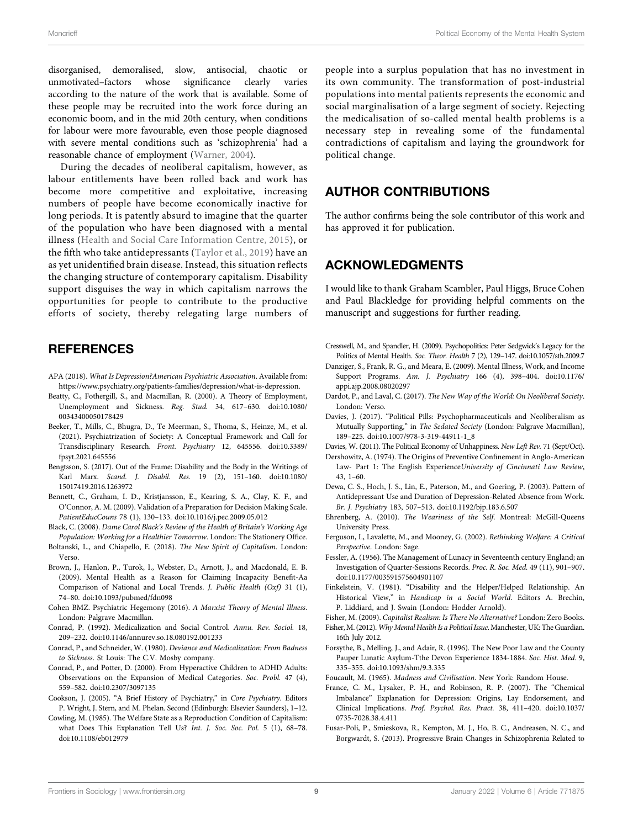disorganised, demoralised, slow, antisocial, chaotic or unmotivated–factors whose significance clearly varies according to the nature of the work that is available. Some of these people may be recruited into the work force during an economic boom, and in the mid 20th century, when conditions for labour were more favourable, even those people diagnosed with severe mental conditions such as 'schizophrenia' had a reasonable chance of employment [\(Warner, 2004](#page-10-15)).

During the decades of neoliberal capitalism, however, as labour entitlements have been rolled back and work has become more competitive and exploitative, increasing numbers of people have become economically inactive for long periods. It is patently absurd to imagine that the quarter of the population who have been diagnosed with a mental illness ([Health and Social Care Information Centre, 2015](#page-9-0)), or the fifth who take antidepressants [\(Taylor et al., 2019\)](#page-10-9) have an as yet unidentified brain disease. Instead, this situation reflects the changing structure of contemporary capitalism. Disability support disguises the way in which capitalism narrows the opportunities for people to contribute to the productive efforts of society, thereby relegating large numbers of

## **REFERENCES**

- <span id="page-8-26"></span>APA (2018). What Is Depression?American Psychiatric Association. Available from: [https://www.psychiatry.org/patients-families/depression/what-is-depression.](https://www.psychiatry.org/patients-families/depression/what-is-depression)
- <span id="page-8-24"></span>Beatty, C., Fothergill, S., and Macmillan, R. (2000). A Theory of Employment, Unemployment and Sickness. Reg. Stud. 34, 617–630. doi:[10.1080/](https://doi.org/10.1080/00343400050178429) [00343400050178429](https://doi.org/10.1080/00343400050178429)
- <span id="page-8-0"></span>Beeker, T., Mills, C., Bhugra, D., Te Meerman, S., Thoma, S., Heinze, M., et al. (2021). Psychiatrization of Society: A Conceptual Framework and Call for Transdisciplinary Research. Front. Psychiatry 12, 645556. doi:[10.3389/](https://doi.org/10.3389/fpsyt.2021.645556) [fpsyt.2021.645556](https://doi.org/10.3389/fpsyt.2021.645556)
- <span id="page-8-17"></span>Bengtsson, S. (2017). Out of the Frame: Disability and the Body in the Writings of Karl Marx. Scand. J. Disabil. Res. 19 (2), 151–160. doi[:10.1080/](https://doi.org/10.1080/15017419.2016.1263972) [15017419.2016.1263972](https://doi.org/10.1080/15017419.2016.1263972)
- <span id="page-8-11"></span>Bennett, C., Graham, I. D., Kristjansson, E., Kearing, S. A., Clay, K. F., and O'Connor, A. M. (2009). Validation of a Preparation for Decision Making Scale. PatientEducCouns 78 (1), 130–133. doi:[10.1016/j.pec.2009.05.012](https://doi.org/10.1016/j.pec.2009.05.012)
- <span id="page-8-20"></span>Black, C. (2008). Dame Carol Black's Review of the Health of Britain's Working Age Population: Working for a Healthier Tomorrow. London: The Stationery Office.
- <span id="page-8-22"></span>Boltanski, L., and Chiapello, E. (2018). The New Spirit of Capitalism. London: Verso.
- <span id="page-8-18"></span>Brown, J., Hanlon, P., Turok, I., Webster, D., Arnott, J., and Macdonald, E. B. (2009). Mental Health as a Reason for Claiming Incapacity Benefit-Aa Comparison of National and Local Trends. J. Public Health (Oxf) 31 (1), 74–80. doi:[10.1093/pubmed/fdn098](https://doi.org/10.1093/pubmed/fdn098)
- <span id="page-8-3"></span>Cohen BMZ. Psychiatric Hegemony (2016). A Marxist Theory of Mental Illness. London: Palgrave Macmillan.
- <span id="page-8-2"></span>Conrad, P. (1992). Medicalization and Social Control. Annu. Rev. Sociol. 18, 209–232. doi:[10.1146/annurev.so.18.080192.001233](https://doi.org/10.1146/annurev.so.18.080192.001233)
- <span id="page-8-25"></span>Conrad, P., and Schneider, W. (1980). Deviance and Medicalization: From Badness to Sickness. St Louis: The C.V. Mosby company.
- <span id="page-8-1"></span>Conrad, P., and Potter, D. (2000). From Hyperactive Children to ADHD Adults: Observations on the Expansion of Medical Categories. Soc. Probl. 47 (4), 559–582. doi:[10.2307/3097135](https://doi.org/10.2307/3097135)
- <span id="page-8-15"></span>Cookson, J. (2005). "A Brief History of Psychiatry," in Core Psychiatry. Editors P. Wright, J. Stern, and M. Phelan. Second (Edinburgh: Elsevier Saunders), 1–12.
- <span id="page-8-10"></span>Cowling, M. (1985). The Welfare State as a Reproduction Condition of Capitalism: what Does This Explanation Tell Us? Int. J. Soc. Soc. Pol. 5 (1), 68–78. doi:[10.1108/eb012979](https://doi.org/10.1108/eb012979)

people into a surplus population that has no investment in its own community. The transformation of post-industrial populations into mental patients represents the economic and social marginalisation of a large segment of society. Rejecting the medicalisation of so-called mental health problems is a necessary step in revealing some of the fundamental contradictions of capitalism and laying the groundwork for political change.

## AUTHOR CONTRIBUTIONS

The author confirms being the sole contributor of this work and has approved it for publication.

#### ACKNOWLEDGMENTS

I would like to thank Graham Scambler, Paul Higgs, Bruce Cohen and Paul Blackledge for providing helpful comments on the manuscript and suggestions for further reading.

- <span id="page-8-30"></span>Cresswell, M., and Spandler, H. (2009). Psychopolitics: Peter Sedgwick's Legacy for the Politics of Mental Health. Soc. Theor. Health 7 (2), 129–147. doi[:10.1057/sth.2009.7](https://doi.org/10.1057/sth.2009.7)
- <span id="page-8-19"></span>Danziger, S., Frank, R. G., and Meara, E. (2009). Mental Illness, Work, and Income Support Programs. Am. J. Psychiatry 166 (4), 398–404. doi[:10.1176/](https://doi.org/10.1176/appi.ajp.2008.08020297) [appi.ajp.2008.08020297](https://doi.org/10.1176/appi.ajp.2008.08020297)
- <span id="page-8-23"></span>Dardot, P., and Laval, C. (2017). The New Way of the World: On Neoliberal Society. London: Verso.
- <span id="page-8-5"></span>Davies, J. (2017). "Political Pills: Psychopharmaceuticals and Neoliberalism as Mutually Supporting," in The Sedated Society (London: Palgrave Macmillan), 189–225. doi:[10.1007/978-3-319-44911-1\\_8](https://doi.org/10.1007/978-3-319-44911-1_8)

<span id="page-8-6"></span>Davies, W. (2011). The Political Economy of Unhappiness. New Left Rev. 71 (Sept/Oct).

- <span id="page-8-8"></span>Dershowitz, A. (1974). The Origins of Preventive Confinement in Anglo-American Law- Part 1: The English ExperienceUniversity of Cincinnati Law Review, 43, 1–60.
- <span id="page-8-21"></span>Dewa, C. S., Hoch, J. S., Lin, E., Paterson, M., and Goering, P. (2003). Pattern of Antidepressant Use and Duration of Depression-Related Absence from Work. Br. J. Psychiatry 183, 507–513. doi[:10.1192/bjp.183.6.507](https://doi.org/10.1192/bjp.183.6.507)
- <span id="page-8-28"></span>Ehrenberg, A. (2010). The Weariness of the Self. Montreal: McGill-Queens University Press.
- <span id="page-8-9"></span>Ferguson, I., Lavalette, M., and Mooney, G. (2002). Rethinking Welfare: A Critical Perspective. London: Sage.
- <span id="page-8-12"></span>Fessler, A. (1956). The Management of Lunacy in Seventeenth century England; an Investigation of Quarter-Sessions Records. Proc. R. Soc. Med. 49 (11), 901–907. doi[:10.1177/003591575604901107](https://doi.org/10.1177/003591575604901107)
- <span id="page-8-16"></span>Finkelstein, V. (1981). "Disability and the Helper/Helped Relationship. An Historical View," in Handicap in a Social World. Editors A. Brechin, P. Liddiard, and J. Swain (London: Hodder Arnold).
- <span id="page-8-4"></span>Fisher, M. (2009). Capitalist Realism: Is There No Alternative? London: Zero Books.
- <span id="page-8-29"></span>Fisher, M. (2012). Why Mental Health Is a Political Issue. Manchester, UK: The Guardian. 16th July 2012.
- <span id="page-8-13"></span>Forsythe, B., Melling, J., and Adair, R. (1996). The New Poor Law and the County Pauper Lunatic Asylum-Tthe Devon Experience 1834-1884. Soc. Hist. Med. 9, 335–355. doi:[10.1093/shm/9.3.335](https://doi.org/10.1093/shm/9.3.335)
- <span id="page-8-14"></span>Foucault, M. (1965). Madness and Civilisation. New York: Random House.
- <span id="page-8-27"></span>France, C. M., Lysaker, P. H., and Robinson, R. P. (2007). The "Chemical Imbalance" Explanation for Depression: Origins, Lay Endorsement, and Clinical Implications. Prof. Psychol. Res. Pract. 38, 411–420. doi[:10.1037/](https://doi.org/10.1037/0735-7028.38.4.411) [0735-7028.38.4.411](https://doi.org/10.1037/0735-7028.38.4.411)
- <span id="page-8-7"></span>Fusar-Poli, P., Smieskova, R., Kempton, M. J., Ho, B. C., Andreasen, N. C., and Borgwardt, S. (2013). Progressive Brain Changes in Schizophrenia Related to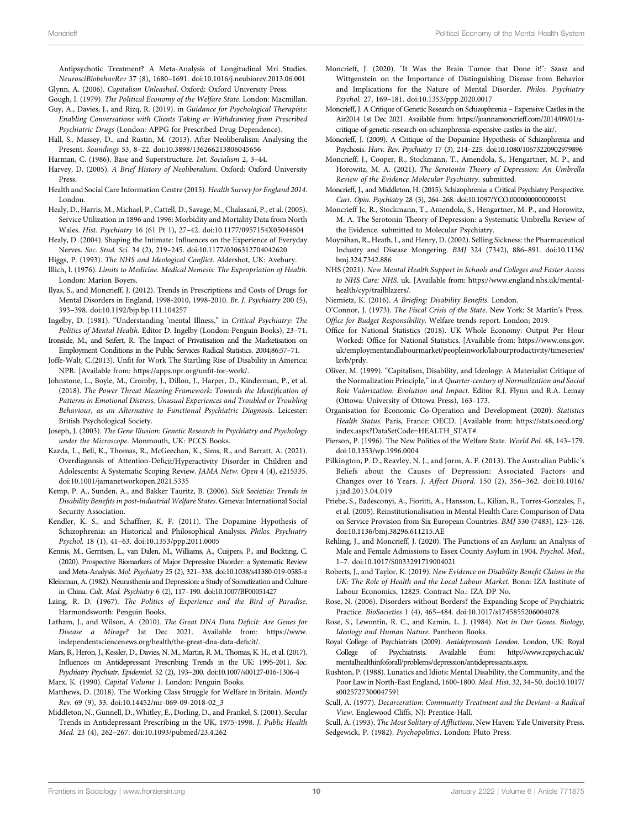Antipsychotic Treatment? A Meta-Analysis of Longitudinal Mri Studies. NeurosciBiobehavRev 37 (8), 1680–1691. doi:[10.1016/j.neubiorev.2013.06.001](https://doi.org/10.1016/j.neubiorev.2013.06.001) Glynn, A. (2006). Capitalism Unleashed. Oxford: Oxford University Press.

<span id="page-9-34"></span><span id="page-9-4"></span>Gough, I. (1979). The Political Economy of the Welfare State. London: Macmillan.

- <span id="page-9-51"></span>Guy, A., Davies, J., and Rizq, R. (2019). in Guidance for Psychological Therapists: Enabling Conversations with Clients Taking or Withdrawing from Prescribed Psychiatric Drugs (London: APPG for Prescribed Drug Dependence).
- <span id="page-9-49"></span>Hall, S., Massey, D., and Rustin, M. (2013). After Neoliberalism: Analysing the Present. Soundings 53, 8–22. doi:[10.3898/136266213806045656](https://doi.org/10.3898/136266213806045656)
- <span id="page-9-15"></span>Harman, C. (1986). Base and Superstructure. Int. Socialism 2, 3–44.
- <span id="page-9-33"></span>Harvey, D. (2005). A Brief History of Neoliberalism. Oxford: Oxford University Press.
- <span id="page-9-0"></span>Health and Social Care Information Centre (2015). Health Survey for England 2014. London.
- <span id="page-9-23"></span>Healy, D., Harris, M., Michael, P., Cattell, D., Savage, M., Chalasani, P., et al. (2005). Service Utilization in 1896 and 1996: Morbidity and Mortality Data from North Wales. Hist. Psychiatry 16 (61 Pt 1), 27–42. doi:[10.1177/0957154X05044604](https://doi.org/10.1177/0957154X05044604)
- <span id="page-9-42"></span>Healy, D. (2004). Shaping the Intimate: Influences on the Experience of Everyday Nerves. Soc. Stud. Sci. 34 (2), 219–245. doi[:10.1177/0306312704042620](https://doi.org/10.1177/0306312704042620)
- <span id="page-9-5"></span>Higgs, P. (1993). The NHS and Ideological Conflict. Aldershot, UK: Avebury.

<span id="page-9-40"></span>Illich, I. (1976). Limits to Medicine. Medical Nemesis: The Expropriation of Health. London: Marion Boyers.

- <span id="page-9-29"></span>Ilyas, S., and Moncrieff, J. (2012). Trends in Prescriptions and Costs of Drugs for Mental Disorders in England, 1998-2010, 1998-2010. Br. J. Psychiatry 200 (5), 393–398. doi:[10.1192/bjp.bp.111.104257](https://doi.org/10.1192/bjp.bp.111.104257)
- <span id="page-9-21"></span>Ingelby, D. (1981). "Understanding 'mental Illness," in Critical Psychiatry: The Politics of Mental Health. Editor D. Ingelby (London: Penguin Books), 23–71.

<span id="page-9-36"></span>Ironside, M., and Seifert, R. The Impact of Privatisation and the Marketisation on Employment Conditions in the Public Services Radical Statistics. 2004;86:57–71.

- <span id="page-9-28"></span>Joffe-Walt, C.(2013). Unfit for Work The Startling Rise of Disability in America: NPR. [Available from: [https://apps.npr.org/un](https://apps.npr.org/unfit-for-work/)fit-for-work/.
- <span id="page-9-50"></span>Johnstone, L., Boyle, M., Cromby, J., Dillon, J., Harper, D., Kinderman, P., et al. (2018). The Power Threat Meaning Framework: Towards the Identification of Patterns in Emotional Distress, Unusual Experiences and Troubled or Troubling Behaviour, as an Alternative to Functional Psychiatric Diagnosis. Leicester: British Psychological Society.
- <span id="page-9-8"></span>Joseph, J. (2003). The Gene Illusion: Genetic Research in Psychiatry and Psychology under the Microscope. Monmouth, UK: PCCS Books.
- <span id="page-9-48"></span>Kazda, L., Bell, K., Thomas, R., McGeechan, K., Sims, R., and Barratt, A. (2021). Overdiagnosis of Attention-Deficit/Hyperactivity Disorder in Children and Adolescents: A Systematic Scoping Review. JAMA Netw. Open 4 (4), e215335. doi:[10.1001/jamanetworkopen.2021.5335](https://doi.org/10.1001/jamanetworkopen.2021.5335)
- <span id="page-9-26"></span>Kemp, P. A., Sunden, A., and Bakker Tauritz, B. (2006). Sick Societies: Trends in Disability Benefits in post-industrial Welfare States. Geneva: International Social Security Association.
- <span id="page-9-13"></span>Kendler, K. S., and Schaffner, K. F. (2011). The Dopamine Hypothesis of Schizophrenia: an Historical and Philosophical Analysis. Philos. Psychiatry Psychol. 18 (1), 41–63. doi[:10.1353/ppp.2011.0005](https://doi.org/10.1353/ppp.2011.0005)
- <span id="page-9-44"></span>Kennis, M., Gerritsen, L., van Dalen, M., Williams, A., Cuijpers, P., and Bockting, C. (2020). Prospective Biomarkers of Major Depressive Disorder: a Systematic Review and Meta-Analysis. Mol. Psychiatry 25 (2), 321–338. doi:[10.1038/s41380-019-0585-z](https://doi.org/10.1038/s41380-019-0585-z)
- <span id="page-9-43"></span>Kleinman, A. (1982). Neurasthenia and Depression: a Study of Somatization and Culture in China. Cult. Med. Psychiatry 6 (2), 117–190. doi[:10.1007/BF00051427](https://doi.org/10.1007/BF00051427)

<span id="page-9-41"></span>Laing, R. D. (1967). The Politics of Experience and the Bird of Paradise. Harmondsworth: Penguin Books.

- <span id="page-9-9"></span>Latham, J., and Wilson, A. (2010). The Great DNA Data Deficit: Are Genes for Disease a Mirage? 1st Dec 2021. Available from: [https://www.](https://www.independentsciencenews.org/health/the-great-dna-data-deficit/) [independentsciencenews.org/health/the-great-dna-data-de](https://www.independentsciencenews.org/health/the-great-dna-data-deficit/)ficit/.
- <span id="page-9-32"></span>Mars, B., Heron, J., Kessler, D., Davies, N. M., Martin, R. M., Thomas, K. H., et al. (2017). Influences on Antidepressant Prescribing Trends in the UK: 1995-2011. Soc. Psychiatry Psychiatr. Epidemiol. 52 (2), 193–200. doi[:10.1007/s00127-016-1306-4](https://doi.org/10.1007/s00127-016-1306-4) Marx, K. (1990). Capital Volume 1. London: Penguin Books.
- <span id="page-9-17"></span><span id="page-9-16"></span>
- Matthews, D. (2018). The Working Class Struggle for Welfare in Britain. Montly Rev. 69 (9), 33. doi[:10.14452/mr-069-09-2018-02\\_3](https://doi.org/10.14452/mr-069-09-2018-02_3)
- <span id="page-9-30"></span>Middleton, N., Gunnell, D., Whitley, E., Dorling, D., and Frankel, S. (2001). Secular Trends in Antidepressant Prescribing in the UK, 1975-1998. J. Public Health Med. 23 (4), 262–267. doi:[10.1093/pubmed/23.4.262](https://doi.org/10.1093/pubmed/23.4.262)
- <span id="page-9-6"></span>Moncrieff, J. (2020). "It Was the Brain Tumor that Done it!": Szasz and Wittgenstein on the Importance of Distinguishing Disease from Behavior and Implications for the Nature of Mental Disorder. Philos. Psychiatry Psychol. 27, 169–181. doi[:10.1353/ppp.2020.0017](https://doi.org/10.1353/ppp.2020.0017)
- <span id="page-9-10"></span>Moncrieff, J. A Critique of Genetic Research on Schizophrenia – Expensive Castles in the Air2014 1st Dec 2021. Available from: [https://joannamoncrieff.com/2014/09/01/a](https://joannamoncrieff.com/2014/09/01/a-critique-of-genetic-research-on-schizophrenia-expensive-castles-in-the-air/)[critique-of-genetic-research-on-schizophrenia-expensive-castles-in-the-air/.](https://joannamoncrieff.com/2014/09/01/a-critique-of-genetic-research-on-schizophrenia-expensive-castles-in-the-air/)
- <span id="page-9-12"></span>Moncrieff, J. (2009). A Critique of the Dopamine Hypothesis of Schizophrenia and Psychosis. Harv. Rev. Psychiatry 17 (3), 214–225. doi[:10.1080/10673220902979896](https://doi.org/10.1080/10673220902979896)

<span id="page-9-45"></span>Moncrieff, J., Cooper, R., Stockmann, T., Amendola, S., Hengartner, M. P., and Horowitz, M. A. (2021). The Serotonin Theory of Depression: An Umbrella Review of the Evidence Molecular Psychiatry. submitted.

- <span id="page-9-11"></span>Moncrieff, J., and Middleton, H. (2015). Schizophrenia: a Critical Psychiatry Perspective. Curr. Opin. Psychiatry 28 (3), 264–268. doi[:10.1097/YCO.0000000000000151](https://doi.org/10.1097/YCO.0000000000000151)
- Moncrieff Jc, R., Stockmann, T., Amendola, S., Hengartner, M. P., and Horowitz, M. A. The Serotonin Theory of Depression: a Systematic Umbrella Review of the Evidence. submitted to Molecular Psychiatry.
- <span id="page-9-2"></span>Moynihan, R., Heath, I., and Henry, D. (2002). Selling Sickness: the Pharmaceutical Industry and Disease Mongering. BMJ 324 (7342), 886–891. doi[:10.1136/](https://doi.org/10.1136/bmj.324.7342.886) [bmj.324.7342.886](https://doi.org/10.1136/bmj.324.7342.886)
- <span id="page-9-47"></span>NHS (2021). New Mental Health Support in Schools and Colleges and Faster Access to NHS Care: NHS. uk. [Available from: [https://www.england.nhs.uk/mental](https://www.england.nhs.uk/mental-health/cyp/trailblazers/)[health/cyp/trailblazers/.](https://www.england.nhs.uk/mental-health/cyp/trailblazers/)
- <span id="page-9-27"></span>Niemietz, K. (2016). A Briefing: Disability Benefits. London.
- <span id="page-9-37"></span><span id="page-9-18"></span>O'Connor, J. (1973). The Fiscal Crisis of the State. New York: St Martin's Press. Office for Budget Responsibility. Welfare trends report. London; 2019.
- <span id="page-9-35"></span>Office for National Statistics (2018). UK Whole Economy: Output Per Hour Worked: Office for National Statistics. [Available from: [https://www.ons.gov.](https://www.ons.gov.uk/employmentandlabourmarket/peopleinwork/labourproductivity/timeseries/lzvb/prdy) [uk/employmentandlabourmarket/peopleinwork/labourproductivity/timeseries/](https://www.ons.gov.uk/employmentandlabourmarket/peopleinwork/labourproductivity/timeseries/lzvb/prdy) [lzvb/prdy](https://www.ons.gov.uk/employmentandlabourmarket/peopleinwork/labourproductivity/timeseries/lzvb/prdy).
- <span id="page-9-25"></span>Oliver, M. (1999). "Capitalism, Disability, and Ideology: A Materialist Critique of the Normalization Principle,"in A Quarter-century of Normalization and Social Role Valorization: Evolution and Impact. Editor R.J. Flynn and R.A. Lemay (Ottowa: University of Ottowa Press), 163–173.
- <span id="page-9-31"></span>Organisation for Economic Co-Operation and Development (2020). Statistics Health Status. Paris, France: OECD. [Available from: [https://stats.oecd.org/](https://stats.oecd.org/index.aspx?DataSetCode=HEALTH_STAT#) [index.aspx?DataSetCode](https://stats.oecd.org/index.aspx?DataSetCode=HEALTH_STAT#)=[HEALTH\\_STAT#](https://stats.oecd.org/index.aspx?DataSetCode=HEALTH_STAT#).
- <span id="page-9-19"></span>Pierson, P. (1996). The New Politics of the Welfare State. World Pol. 48, 143–179. doi[:10.1353/wp.1996.0004](https://doi.org/10.1353/wp.1996.0004)
- <span id="page-9-1"></span>Pilkington, P. D., Reavley, N. J., and Jorm, A. F. (2013). The Australian Public's Beliefs about the Causes of Depression: Associated Factors and Changes over 16 Years. J. Affect Disord. 150 (2), 356–362. doi:[10.1016/](https://doi.org/10.1016/j.jad.2013.04.019) [j.jad.2013.04.019](https://doi.org/10.1016/j.jad.2013.04.019)
- <span id="page-9-24"></span>Priebe, S., Badesconyi, A., Fioritti, A., Hansson, L., Kilian, R., Torres-Gonzales, F., et al. (2005). Reinstitutionalisation in Mental Health Care: Comparison of Data on Service Provision from Six European Countries. BMJ 330 (7483), 123–126. doi[:10.1136/bmj.38296.611215.AE](https://doi.org/10.1136/bmj.38296.611215.AE)
- <span id="page-9-14"></span>Rehling, J., and Moncrieff, J. (2020). The Functions of an Asylum: an Analysis of Male and Female Admissions to Essex County Asylum in 1904. Psychol. Med., 1–7. doi[:10.1017/S0033291719004021](https://doi.org/10.1017/S0033291719004021)
- <span id="page-9-38"></span>Roberts, J., and Taylor, K. (2019). New Evidence on Disability Benefit Claims in the UK: The Role of Health and the Local Labour Market. Bonn: IZA Institute of Labour Economics, 12825. Contract No.: IZA DP No.
- <span id="page-9-39"></span>Rose, N. (2006). Disorders without Borders? the Expanding Scope of Psychiatric Practice. BioSocieties 1 (4), 465–484. doi[:10.1017/s1745855206004078](https://doi.org/10.1017/s1745855206004078)
- <span id="page-9-7"></span>Rose, S., Lewontin, R. C., and Kamin, L. J. (1984). Not in Our Genes. Biology, Ideology and Human Nature. Pantheon Books.
- <span id="page-9-46"></span>Royal College of Psychiatrists (2009). Antidepressants London. London, UK: Royal College of Psychiatrists. Available from: [http://www.rcpsych.ac.uk/](http://www.rcpsych.ac.uk/mentalhealthinfoforall/problems/depression/antidepressants.aspx) [mentalhealthinfoforall/problems/depression/antidepressants.aspx](http://www.rcpsych.ac.uk/mentalhealthinfoforall/problems/depression/antidepressants.aspx).
- <span id="page-9-20"></span>Rushton, P. (1988). Lunatics and Idiots: Mental Disability, the Community, and the Poor Law in North-East England, 1600-1800. Med. Hist. 32, 34–50. doi[:10.1017/](https://doi.org/10.1017/s0025727300047591) [s0025727300047591](https://doi.org/10.1017/s0025727300047591)
- <span id="page-9-22"></span>Scull, A. (1977). Decarceration: Community Treatment and the Deviant- a Radical View. Englewood Cliffs, NJ: Prentice-Hall.

<span id="page-9-52"></span><span id="page-9-3"></span>Scull, A. (1993). The Most Solitary of Afflictions. New Haven: Yale University Press. Sedgewick, P. (1982). Psychopolitics. London: Pluto Press.